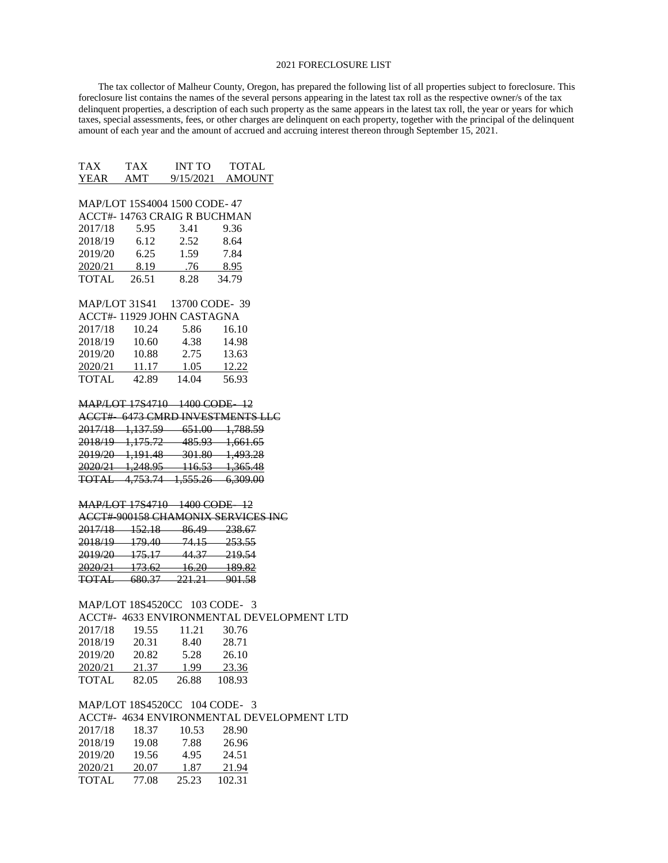## 2021 FORECLOSURE LIST

 The tax collector of Malheur County, Oregon, has prepared the following list of all properties subject to foreclosure. This foreclosure list contains the names of the several persons appearing in the latest tax roll as the respective owner/s of the tax delinquent properties, a description of each such property as the same appears in the latest tax roll, the year or years for which taxes, special assessments, fees, or other charges are delinquent on each property, together with the principal of the delinquent amount of each year and the amount of accrued and accruing interest thereon through September 15, 2021.

|                               |                                                             |  | TAX TAX INT TO TOTAL                                                 |  |  |  |
|-------------------------------|-------------------------------------------------------------|--|----------------------------------------------------------------------|--|--|--|
|                               |                                                             |  | YEAR AMT 9/15/2021 AMOUNT                                            |  |  |  |
|                               |                                                             |  |                                                                      |  |  |  |
| MAP/LOT 15S4004 1500 CODE-47  |                                                             |  |                                                                      |  |  |  |
| ACCT#-14763 CRAIG R BUCHMAN   |                                                             |  |                                                                      |  |  |  |
|                               | 2017/18 5.95 3.41                                           |  | 9.36                                                                 |  |  |  |
|                               |                                                             |  | 8.64                                                                 |  |  |  |
|                               | 2018/19 6.12 2.52<br>2019/20 6.25 1.59                      |  | 7.84                                                                 |  |  |  |
|                               | 2020/21 8.19 .76 8.95                                       |  |                                                                      |  |  |  |
|                               | TOTAL 26.51 8.28 34.79                                      |  |                                                                      |  |  |  |
|                               |                                                             |  |                                                                      |  |  |  |
|                               | MAP/LOT 31S41 13700 CODE-39                                 |  |                                                                      |  |  |  |
|                               | ACCT#-11929 JOHN CASTAGNA                                   |  |                                                                      |  |  |  |
|                               | 2017/18 10.24 5.86 16.10                                    |  |                                                                      |  |  |  |
|                               |                                                             |  |                                                                      |  |  |  |
|                               | 2018/19  10.60  4.38  14.98<br>2019/20  10.88  2.75  13.63  |  |                                                                      |  |  |  |
|                               | 2020/21 11.17 1.05 12.22                                    |  |                                                                      |  |  |  |
|                               | TOTAL 42.89 14.04 56.93                                     |  |                                                                      |  |  |  |
|                               |                                                             |  |                                                                      |  |  |  |
|                               | MAP/LOT 17S4710 1400 CODE 12                                |  |                                                                      |  |  |  |
|                               |                                                             |  | ACCT# 6473 CMRD INVESTMENTS LLC                                      |  |  |  |
|                               |                                                             |  | 2017/18 1,137.59 651.00 1,788.59                                     |  |  |  |
|                               |                                                             |  | 2018/19 1,175.72 485.93 1,661.65                                     |  |  |  |
|                               |                                                             |  |                                                                      |  |  |  |
|                               |                                                             |  | 2019/20 1,191.48 301.80 1,493.28<br>2020/21 1,248.95 116.53 1,365.48 |  |  |  |
|                               |                                                             |  | TOTAL 4,753.74 1,555.26 6,309.00                                     |  |  |  |
|                               |                                                             |  |                                                                      |  |  |  |
|                               | MAP/LOT 17S4710 1400 CODE 12                                |  |                                                                      |  |  |  |
|                               |                                                             |  | ACCT# 900158 CHAMONIX SERVICES INC                                   |  |  |  |
|                               | 2017/18 152.18 86.49 238.67                                 |  |                                                                      |  |  |  |
|                               | 2018/19 179.40 74.15 253.55                                 |  |                                                                      |  |  |  |
|                               |                                                             |  |                                                                      |  |  |  |
|                               | 2019/20 175.17 44.37 219.54<br>2020/21 173.62 16.20 189.82  |  |                                                                      |  |  |  |
|                               | TOTAL 680.37 221.21 901.58                                  |  |                                                                      |  |  |  |
|                               |                                                             |  |                                                                      |  |  |  |
|                               | MAP/LOT 18S4520CC 103 CODE- 3                               |  |                                                                      |  |  |  |
|                               |                                                             |  | ACCT#- 4633 ENVIRONMENTAL DEVELOPMENT LTD                            |  |  |  |
|                               |                                                             |  |                                                                      |  |  |  |
|                               | 2017/18  19.55  11.21  30.76<br>2018/19  20.31  8.40  28.71 |  |                                                                      |  |  |  |
|                               | $2019/20 \qquad 20.82 \qquad \quad 5.28 \qquad \quad 26.10$ |  |                                                                      |  |  |  |
|                               |                                                             |  | 23.36                                                                |  |  |  |
|                               | 2020/21 21.37 1.99 23.36<br>TOTAL 82.05 26.88 108.93        |  |                                                                      |  |  |  |
|                               |                                                             |  |                                                                      |  |  |  |
| MAP/LOT 18S4520CC 104 CODE- 3 |                                                             |  |                                                                      |  |  |  |
|                               |                                                             |  | ACCT#- 4634 ENVIRONMENTAL DEVELOPMENT LTD                            |  |  |  |
|                               |                                                             |  |                                                                      |  |  |  |

| 2017/18 | 18.37 | 10.53 | 28.90  |
|---------|-------|-------|--------|
| 2018/19 | 19.08 | 7.88  | 26.96  |
| 2019/20 | 19.56 | 4.95  | 24.51  |
| 2020/21 | 20.07 | 1.87  | 21.94  |
| TOTAL   | 77.08 | 25.23 | 102.31 |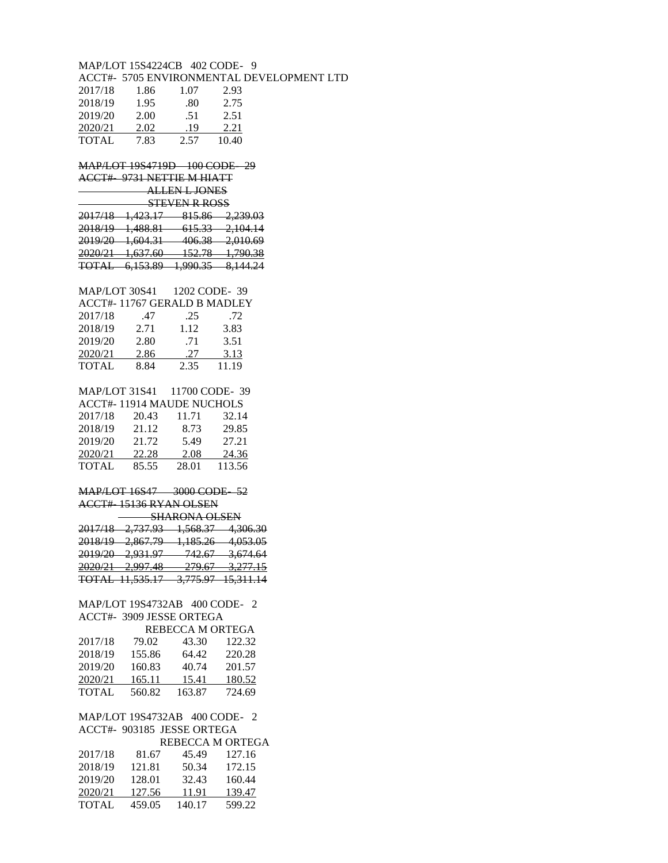|                  | MAP/LOT 15S4224CB 402 CODE- 9                                                                                            |                  |                                           |  |  |
|------------------|--------------------------------------------------------------------------------------------------------------------------|------------------|-------------------------------------------|--|--|
|                  |                                                                                                                          |                  | ACCT#- 5705 ENVIRONMENTAL DEVELOPMENT LTD |  |  |
|                  | 2017/18 1.86 1.07 2.93                                                                                                   |                  |                                           |  |  |
|                  | 2018/19 1.95 .80 2.75                                                                                                    |                  |                                           |  |  |
|                  | 2019/20 2.00 .51 2.51                                                                                                    |                  |                                           |  |  |
|                  | 2020/21 2.02 .19 2.21                                                                                                    |                  |                                           |  |  |
|                  | TOTAL 7.83 $2.57 \overline{10.40}$                                                                                       |                  |                                           |  |  |
|                  |                                                                                                                          |                  |                                           |  |  |
|                  | MAP/LOT 19S4719D 100 CODE 29                                                                                             |                  |                                           |  |  |
|                  | ACCT# 9731 NETTIE M HIATT                                                                                                |                  |                                           |  |  |
|                  | ALLEN L JONES                                                                                                            |                  |                                           |  |  |
|                  |                                                                                                                          | STEVEN R ROSS    |                                           |  |  |
|                  |                                                                                                                          |                  | 2017/18 1,423.17 815.86 2,239.03          |  |  |
|                  |                                                                                                                          |                  | 2018/19 1,488.81 615.33 2,104.14          |  |  |
|                  |                                                                                                                          |                  | 2019/20 1,604.31 406.38 2,010.69          |  |  |
|                  |                                                                                                                          |                  |                                           |  |  |
|                  |                                                                                                                          |                  | 2020/21 1,637.60 152.78 1,790.38          |  |  |
|                  |                                                                                                                          |                  | TOTAL 6,153.89 1,990.35 8,144.24          |  |  |
|                  |                                                                                                                          |                  |                                           |  |  |
|                  | MAP/LOT 30S41 1202 CODE-39                                                                                               |                  |                                           |  |  |
|                  | ACCT#-11767 GERALD B MADLEY                                                                                              |                  |                                           |  |  |
|                  |                                                                                                                          |                  |                                           |  |  |
|                  |                                                                                                                          |                  |                                           |  |  |
|                  |                                                                                                                          |                  |                                           |  |  |
|                  |                                                                                                                          |                  |                                           |  |  |
|                  | 2017/18 .47 .25 .72<br>2018/19 2.71 1.12 3.83<br>2019/20 2.80 .71 3.51<br>2020/21 2.86 .27 3.13<br>TOTAL 8.84 2.35 11.19 |                  |                                           |  |  |
|                  |                                                                                                                          |                  |                                           |  |  |
|                  | MAP/LOT 31S41 11700 CODE-39                                                                                              |                  |                                           |  |  |
|                  | ACCT#-11914 MAUDE NUCHOLS                                                                                                |                  |                                           |  |  |
|                  | 2017/18 20.43 11.71 32.14                                                                                                |                  |                                           |  |  |
|                  | 2018/19 21.12 8.73 29.85                                                                                                 |                  |                                           |  |  |
|                  | 2019/20 21.72 5.49 27.21                                                                                                 |                  |                                           |  |  |
|                  |                                                                                                                          |                  |                                           |  |  |
|                  | $\frac{2020/21}{\text{TOTAL}} \quad \frac{22.28}{85.55} \quad \frac{2.08}{28.01} \quad \frac{24.36}{113.56}$             |                  |                                           |  |  |
|                  |                                                                                                                          |                  |                                           |  |  |
|                  | MAP/LOT 16S47 3000 CODE 52                                                                                               |                  |                                           |  |  |
|                  | ACCT# 15136 RYAN OLSEN                                                                                                   |                  |                                           |  |  |
|                  |                                                                                                                          | SHARONA OLSEN    |                                           |  |  |
|                  |                                                                                                                          |                  | 2017/18 2,737.93 1,568.37 4,306.30        |  |  |
|                  |                                                                                                                          |                  | 2018/19 2,867.79 1,185.26 4,053.05        |  |  |
|                  |                                                                                                                          |                  | 2019/20 2,931.97 742.67 3,674.64          |  |  |
|                  |                                                                                                                          |                  |                                           |  |  |
|                  |                                                                                                                          |                  | 2020/21 2,997.48 279.67 3,277.15          |  |  |
|                  |                                                                                                                          |                  | TOTAL 11,535.17 3,775.97 15,311.14        |  |  |
|                  |                                                                                                                          |                  |                                           |  |  |
|                  | MAP/LOT 19S4732AB 400 CODE- 2                                                                                            |                  |                                           |  |  |
|                  | ACCT#- 3909 JESSE ORTEGA                                                                                                 |                  |                                           |  |  |
|                  |                                                                                                                          | REBECCA M ORTEGA |                                           |  |  |
| 2017/18          | 79.02                                                                                                                    | 43.30            | 122.32                                    |  |  |
|                  | 155.86<br>2018/19 155.86<br>2019/20 160.83                                                                               | 64.42            | 220.28                                    |  |  |
|                  |                                                                                                                          | $40.74$ $201.57$ |                                           |  |  |
|                  | 2020/21 165.11 15.41 180.52                                                                                              |                  |                                           |  |  |
|                  | TOTAL 560.82 163.87 724.69                                                                                               |                  |                                           |  |  |
|                  |                                                                                                                          |                  |                                           |  |  |
|                  | MAP/LOT 19S4732AB 400 CODE- 2                                                                                            |                  |                                           |  |  |
|                  | ACCT#- 903185 JESSE ORTEGA                                                                                               |                  |                                           |  |  |
| REBECCA M ORTEGA |                                                                                                                          |                  |                                           |  |  |
| 2017/18          | 81.67                                                                                                                    | 45.49            | 127.16                                    |  |  |
| 2018/19          | 121.81                                                                                                                   | 50.34            | 172.15                                    |  |  |
| 2019/20          | 128.01                                                                                                                   | 32.43            | 160.44                                    |  |  |
|                  | 2020/21 127.56 11.91 139.47                                                                                              |                  |                                           |  |  |
|                  |                                                                                                                          |                  |                                           |  |  |

TOTAL 459.05 140.17 599.22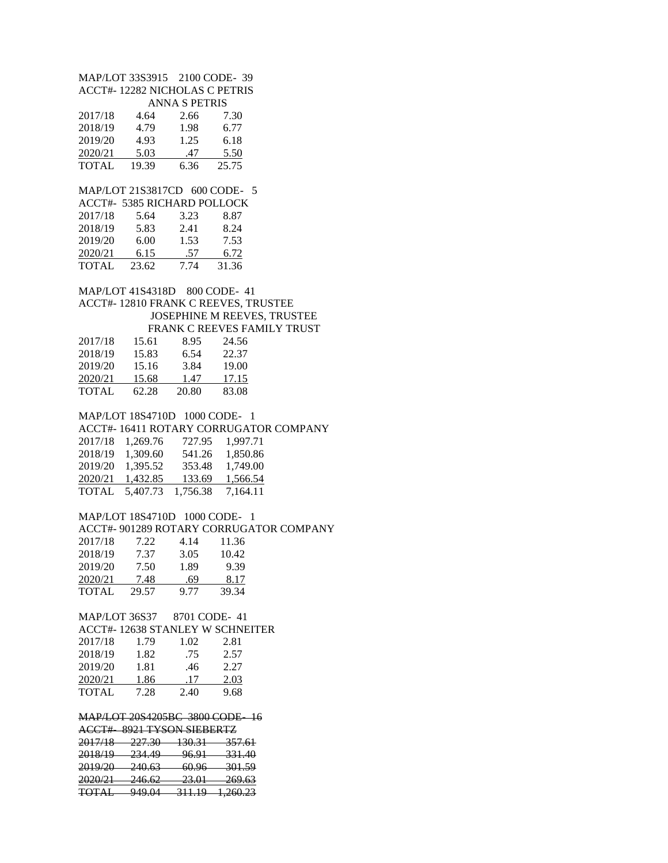MAP/LOT 33S3915 2100 CODE- 39 ACCT#- 12282 NICHOLAS C PETRIS ANNA S PETRIS 2017/18 4.64 2.66 7.30 2018/19 4.79 1.98 6.77 2019/20 4.93 1.25 6.18 2020/21 5.03 .47 5.50 TOTAL 19.39 6.36 25.75 MAP/LOT 21S3817CD 600 CODE- 5 ACCT#- 5385 RICHARD POLLOCK 2017/18 5.64 3.23 8.87 2018/19 5.83 2.41 8.24 2019/20 6.00 1.53 7.53 2020/21 6.15 .57 6.72 TOTAL 23.62 7.74 31.36 MAP/LOT 41S4318D 800 CODE- 41 ACCT#- 12810 FRANK C REEVES, TRUSTEE JOSEPHINE M REEVES, TRUSTEE FRANK C REEVES FAMILY TRUST 2017/18 15.61 8.95 24.56 2018/19 15.83 6.54 22.37 2019/20 15.16 3.84 19.00<br>2020/21 15.68 1.47 17.15 2020/21 15.68 1.47 TOTAL 62.28 20.80 83.08 MAP/LOT 18S4710D 1000 CODE- 1 ACCT#- 16411 ROTARY CORRUGATOR COMPANY 2017/18 1,269.76 727.95 1,997.71 2018/19 1,309.60 541.26 1,850.86 2019/20 1,395.52 353.48 1,749.00 2020/21 1,432.85 133.69 1,566.54 TOTAL 5,407.73 1,756.38 7,164.11 MAP/LOT 18S4710D 1000 CODE- 1 ACCT#- 901289 ROTARY CORRUGATOR COMPANY 2017/18 7.22 4.14 11.36 2018/19 7.37 3.05 10.42 2019/20 7.50 1.89 9.39 2020/21 7.48 .69 8.17<br>TOTAL 29.57 9.77 39.34 TOTAL 29.57 MAP/LOT 36S37 8701 CODE- 41 ACCT#- 12638 STANLEY W SCHNEITER 2017/18 1.79 1.02 2.81 2018/19 1.82 .75 2.57 2019/20 1.81 .46 2.27 2020/21 1.86 .17 2.03 TOTAL 7.28 2.40 9.68 MAP/LOT 20S4205BC 3800 CODE- 16 ACCT#- 8921 TYSON SIEBERTZ 2017/18 227.30 130.31 357.61<br>2018/19 234.49 96.91 331.40 2018/19 234.49 96.91 331.40<br>2019/20 240.63 60.96 301.59 2019/20 2020/21 246.62 23.01 269.63

TOTAL 949.04 311.19 1,260.23